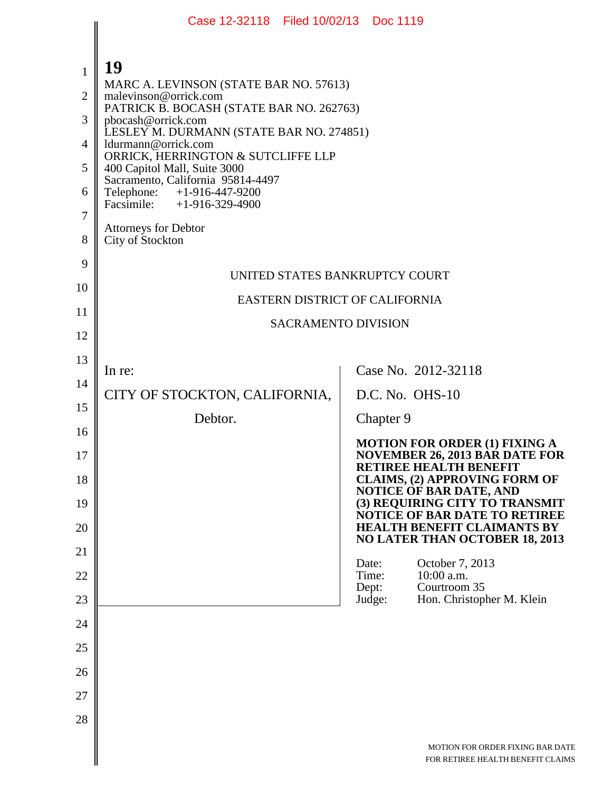|                | Case 12-32118 Filed 10/02/13 Doc 1119                                         |                                                                       |  |
|----------------|-------------------------------------------------------------------------------|-----------------------------------------------------------------------|--|
|                |                                                                               |                                                                       |  |
| $\mathbf{1}$   | 19                                                                            |                                                                       |  |
| $\overline{2}$ | MARC A. LEVINSON (STATE BAR NO. 57613)                                        |                                                                       |  |
|                | malevinson@orrick.com<br>PATRICK B. BOCASH (STATE BAR NO. 262763)             |                                                                       |  |
| 3              | pbocash@orrick.com<br>LESLEY M. DURMANN (STATE BAR NO. 274851)                |                                                                       |  |
| 4              | ldurmann@orrick.com<br>ORRICK, HERRINGTON & SUTCLIFFE LLP                     |                                                                       |  |
| 5              | 400 Capitol Mall, Suite 3000<br>Sacramento, California 95814-4497             |                                                                       |  |
| 6              | Telephone: +1-916-447-9200<br>Facsimile: +1-916-329-4900                      |                                                                       |  |
| 7              | <b>Attorneys for Debtor</b>                                                   |                                                                       |  |
| 8              | City of Stockton                                                              |                                                                       |  |
| 9              |                                                                               | UNITED STATES BANKRUPTCY COURT                                        |  |
| 10             |                                                                               |                                                                       |  |
| 11             | EASTERN DISTRICT OF CALIFORNIA                                                |                                                                       |  |
| 12             | <b>SACRAMENTO DIVISION</b>                                                    |                                                                       |  |
| 13             |                                                                               |                                                                       |  |
| 14             | In re:                                                                        | Case No. 2012-32118                                                   |  |
| 15             | CITY OF STOCKTON, CALIFORNIA,                                                 | D.C. No. OHS-10                                                       |  |
| 16             | Debtor.                                                                       | Chapter 9                                                             |  |
| 17             | <b>MOTION FOR ORDER (1) FIXING A</b><br><b>NOVEMBER 26, 2013 BAR DATE FOR</b> |                                                                       |  |
| 18             |                                                                               | <b>RETIREE HEALTH BENEFIT</b><br><b>CLAIMS, (2) APPROVING FORM OF</b> |  |
| 19             |                                                                               | <b>NOTICE OF BAR DATE, AND</b><br>(3) REQUIRING CITY TO TRANSMIT      |  |
| 20             |                                                                               | NOTICE OF BAR DATE TO RETIREE<br><b>HEALTH BENEFIT CLAIMANTS BY</b>   |  |
| 21             |                                                                               | <b>NO LATER THAN OCTOBER 18, 2013</b>                                 |  |
| 22             |                                                                               | October 7, 2013<br>Date:<br>10:00 a.m.<br>Time:                       |  |
| 23             |                                                                               | Courtroom 35<br>Dept:<br>Judge:<br>Hon. Christopher M. Klein          |  |
| 24             |                                                                               |                                                                       |  |
| 25             |                                                                               |                                                                       |  |
| 26             |                                                                               |                                                                       |  |
| 27             |                                                                               |                                                                       |  |
| 28             |                                                                               |                                                                       |  |
|                |                                                                               |                                                                       |  |
|                |                                                                               | MOTION FOR ORDER FIXING BAR DATE<br>FOR RETIREE HEALTH BENEFIT CLAIMS |  |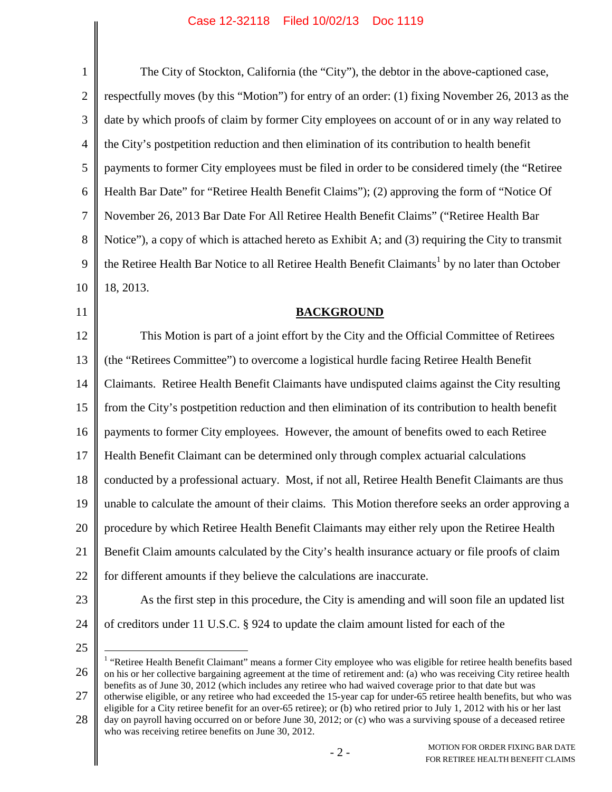| $\mathbf{1}$   | The City of Stockton, California (the "City"), the debtor in the above-captioned case,                                                                                                                                                                                                                                                                     |  |
|----------------|------------------------------------------------------------------------------------------------------------------------------------------------------------------------------------------------------------------------------------------------------------------------------------------------------------------------------------------------------------|--|
| $\overline{2}$ | respectfully moves (by this "Motion") for entry of an order: (1) fixing November 26, 2013 as the                                                                                                                                                                                                                                                           |  |
| 3              | date by which proofs of claim by former City employees on account of or in any way related to                                                                                                                                                                                                                                                              |  |
| 4              | the City's postpetition reduction and then elimination of its contribution to health benefit                                                                                                                                                                                                                                                               |  |
| 5              | payments to former City employees must be filed in order to be considered timely (the "Retiree                                                                                                                                                                                                                                                             |  |
| 6              | Health Bar Date" for "Retiree Health Benefit Claims"); (2) approving the form of "Notice Of                                                                                                                                                                                                                                                                |  |
| 7              | November 26, 2013 Bar Date For All Retiree Health Benefit Claims" ("Retiree Health Bar                                                                                                                                                                                                                                                                     |  |
| 8              | Notice"), a copy of which is attached hereto as Exhibit A; and (3) requiring the City to transmit                                                                                                                                                                                                                                                          |  |
| 9              | the Retiree Health Bar Notice to all Retiree Health Benefit Claimants <sup>1</sup> by no later than October                                                                                                                                                                                                                                                |  |
| 10             | 18, 2013.                                                                                                                                                                                                                                                                                                                                                  |  |
| 11             | <b>BACKGROUND</b>                                                                                                                                                                                                                                                                                                                                          |  |
| 12             | This Motion is part of a joint effort by the City and the Official Committee of Retirees                                                                                                                                                                                                                                                                   |  |
| 13             | (the "Retirees Committee") to overcome a logistical hurdle facing Retiree Health Benefit                                                                                                                                                                                                                                                                   |  |
| 14             | Claimants. Retiree Health Benefit Claimants have undisputed claims against the City resulting                                                                                                                                                                                                                                                              |  |
| 15             | from the City's postpetition reduction and then elimination of its contribution to health benefit                                                                                                                                                                                                                                                          |  |
| 16             | payments to former City employees. However, the amount of benefits owed to each Retiree                                                                                                                                                                                                                                                                    |  |
| 17             | Health Benefit Claimant can be determined only through complex actuarial calculations                                                                                                                                                                                                                                                                      |  |
| 18             | conducted by a professional actuary. Most, if not all, Retiree Health Benefit Claimants are thus                                                                                                                                                                                                                                                           |  |
| 19             | unable to calculate the amount of their claims. This Motion therefore seeks an order approving a                                                                                                                                                                                                                                                           |  |
| 20             | procedure by which Retiree Health Benefit Claimants may either rely upon the Retiree Health                                                                                                                                                                                                                                                                |  |
| 21             | Benefit Claim amounts calculated by the City's health insurance actuary or file proofs of claim                                                                                                                                                                                                                                                            |  |
| 22             | for different amounts if they believe the calculations are inaccurate.                                                                                                                                                                                                                                                                                     |  |
| 23             | As the first step in this procedure, the City is amending and will soon file an updated list                                                                                                                                                                                                                                                               |  |
| 24             | of creditors under 11 U.S.C. § 924 to update the claim amount listed for each of the                                                                                                                                                                                                                                                                       |  |
| 25             |                                                                                                                                                                                                                                                                                                                                                            |  |
| 26             | "Retiree Health Benefit Claimant" means a former City employee who was eligible for retiree health benefits based<br>on his or her collective bargaining agreement at the time of retirement and: (a) who was receiving City retiree health<br>benefits as of June 30, 2012 (which includes any retiree who had waived coverage prior to that date but was |  |

27 otherwise eligible, or any retiree who had exceeded the 15-year cap for under-65 retiree health benefits, but who was eligible for a City retiree benefit for an over-65 retiree); or (b) who retired prior to July 1, 2012 with his or her last

<sup>28</sup> day on payroll having occurred on or before June 30, 2012; or (c) who was a surviving spouse of a deceased retiree who was receiving retiree benefits on June 30, 2012.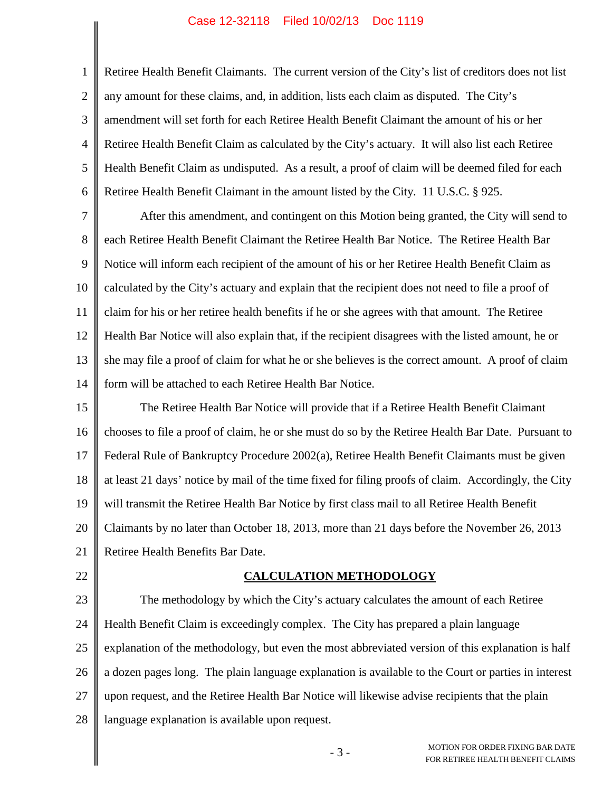2 3 4 5 6 Retiree Health Benefit Claimants. The current version of the City's list of creditors does not list any amount for these claims, and, in addition, lists each claim as disputed. The City's amendment will set forth for each Retiree Health Benefit Claimant the amount of his or her Retiree Health Benefit Claim as calculated by the City's actuary. It will also list each Retiree Health Benefit Claim as undisputed. As a result, a proof of claim will be deemed filed for each Retiree Health Benefit Claimant in the amount listed by the City. 11 U.S.C. § 925.

7 8 9 10 11 12 13 14 After this amendment, and contingent on this Motion being granted, the City will send to each Retiree Health Benefit Claimant the Retiree Health Bar Notice. The Retiree Health Bar Notice will inform each recipient of the amount of his or her Retiree Health Benefit Claim as calculated by the City's actuary and explain that the recipient does not need to file a proof of claim for his or her retiree health benefits if he or she agrees with that amount. The Retiree Health Bar Notice will also explain that, if the recipient disagrees with the listed amount, he or she may file a proof of claim for what he or she believes is the correct amount. A proof of claim form will be attached to each Retiree Health Bar Notice.

15 16 17 18 19 20 21 The Retiree Health Bar Notice will provide that if a Retiree Health Benefit Claimant chooses to file a proof of claim, he or she must do so by the Retiree Health Bar Date. Pursuant to Federal Rule of Bankruptcy Procedure 2002(a), Retiree Health Benefit Claimants must be given at least 21 days' notice by mail of the time fixed for filing proofs of claim. Accordingly, the City will transmit the Retiree Health Bar Notice by first class mail to all Retiree Health Benefit Claimants by no later than October 18, 2013, more than 21 days before the November 26, 2013 Retiree Health Benefits Bar Date.

22

1

### **CALCULATION METHODOLOGY**

23 24 25 26 27 28 The methodology by which the City's actuary calculates the amount of each Retiree Health Benefit Claim is exceedingly complex. The City has prepared a plain language explanation of the methodology, but even the most abbreviated version of this explanation is half a dozen pages long. The plain language explanation is available to the Court or parties in interest upon request, and the Retiree Health Bar Notice will likewise advise recipients that the plain language explanation is available upon request.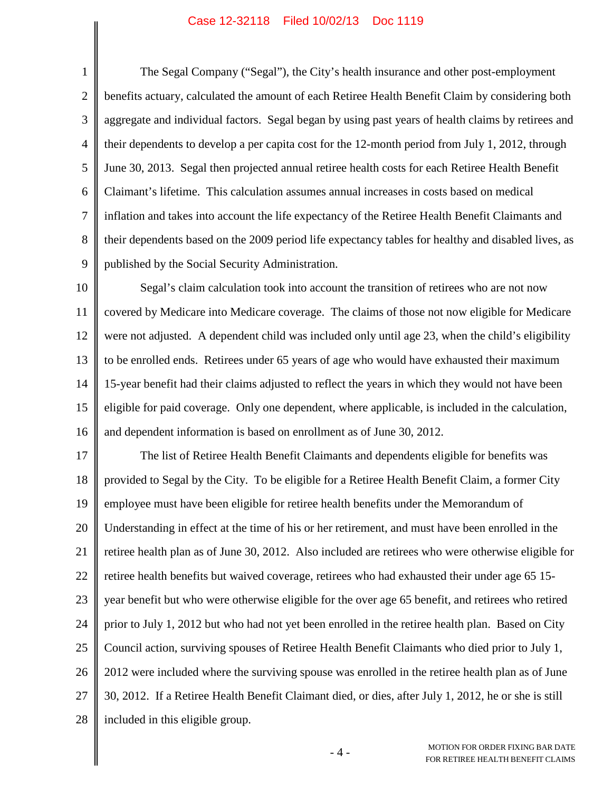1 2 3 4 5 6 7 8 9 The Segal Company ("Segal"), the City's health insurance and other post-employment benefits actuary, calculated the amount of each Retiree Health Benefit Claim by considering both aggregate and individual factors. Segal began by using past years of health claims by retirees and their dependents to develop a per capita cost for the 12-month period from July 1, 2012, through June 30, 2013. Segal then projected annual retiree health costs for each Retiree Health Benefit Claimant's lifetime. This calculation assumes annual increases in costs based on medical inflation and takes into account the life expectancy of the Retiree Health Benefit Claimants and their dependents based on the 2009 period life expectancy tables for healthy and disabled lives, as published by the Social Security Administration.

10 11 12 13 14 15 16 Segal's claim calculation took into account the transition of retirees who are not now covered by Medicare into Medicare coverage. The claims of those not now eligible for Medicare were not adjusted. A dependent child was included only until age 23, when the child's eligibility to be enrolled ends. Retirees under 65 years of age who would have exhausted their maximum 15-year benefit had their claims adjusted to reflect the years in which they would not have been eligible for paid coverage. Only one dependent, where applicable, is included in the calculation, and dependent information is based on enrollment as of June 30, 2012.

17 18 19 20 21 22 23 24 25 26 27 28 The list of Retiree Health Benefit Claimants and dependents eligible for benefits was provided to Segal by the City. To be eligible for a Retiree Health Benefit Claim, a former City employee must have been eligible for retiree health benefits under the Memorandum of Understanding in effect at the time of his or her retirement, and must have been enrolled in the retiree health plan as of June 30, 2012. Also included are retirees who were otherwise eligible for retiree health benefits but waived coverage, retirees who had exhausted their under age 65 15 year benefit but who were otherwise eligible for the over age 65 benefit, and retirees who retired prior to July 1, 2012 but who had not yet been enrolled in the retiree health plan. Based on City Council action, surviving spouses of Retiree Health Benefit Claimants who died prior to July 1, 2012 were included where the surviving spouse was enrolled in the retiree health plan as of June 30, 2012. If a Retiree Health Benefit Claimant died, or dies, after July 1, 2012, he or she is still included in this eligible group.

> - 4 - MOTION FOR ORDER FIXING BAR DATE FOR RETIREE HEALTH BENEFIT CLAIMS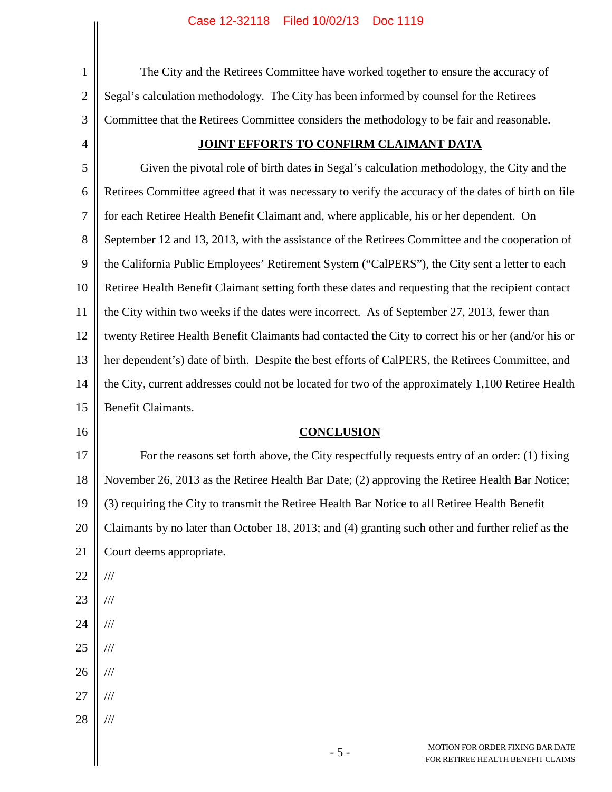|                | Case IZ-32110 - Filed IU/OZ/13 - DOC 1119                                                            |  |  |
|----------------|------------------------------------------------------------------------------------------------------|--|--|
| $\mathbf{1}$   | The City and the Retirees Committee have worked together to ensure the accuracy of                   |  |  |
| $\overline{2}$ | Segal's calculation methodology. The City has been informed by counsel for the Retirees              |  |  |
| 3              | Committee that the Retirees Committee considers the methodology to be fair and reasonable.           |  |  |
| 4              | JOINT EFFORTS TO CONFIRM CLAIMANT DATA                                                               |  |  |
| 5              | Given the pivotal role of birth dates in Segal's calculation methodology, the City and the           |  |  |
| 6              | Retirees Committee agreed that it was necessary to verify the accuracy of the dates of birth on file |  |  |
| 7              | for each Retiree Health Benefit Claimant and, where applicable, his or her dependent. On             |  |  |
| 8              | September 12 and 13, 2013, with the assistance of the Retirees Committee and the cooperation of      |  |  |
| 9              | the California Public Employees' Retirement System ("CalPERS"), the City sent a letter to each       |  |  |
| 10             | Retiree Health Benefit Claimant setting forth these dates and requesting that the recipient contact  |  |  |
| 11             | the City within two weeks if the dates were incorrect. As of September 27, 2013, fewer than          |  |  |
| 12             | twenty Retiree Health Benefit Claimants had contacted the City to correct his or her (and/or his or  |  |  |
| 13             | her dependent's) date of birth. Despite the best efforts of CalPERS, the Retirees Committee, and     |  |  |
| 14             | the City, current addresses could not be located for two of the approximately 1,100 Retiree Health   |  |  |
| 15             | Benefit Claimants.                                                                                   |  |  |
| 16             | <b>CONCLUSION</b>                                                                                    |  |  |
| 17             | For the reasons set forth above, the City respectfully requests entry of an order: (1) fixing        |  |  |
| 18             | November 26, 2013 as the Retiree Health Bar Date; (2) approving the Retiree Health Bar Notice;       |  |  |
| 19             | (3) requiring the City to transmit the Retiree Health Bar Notice to all Retiree Health Benefit       |  |  |
| 20             | Claimants by no later than October 18, 2013; and (4) granting such other and further relief as the   |  |  |
| 21             | Court deems appropriate.                                                                             |  |  |
| 22             | $/\!/ \!/$                                                                                           |  |  |
| 23             | $\frac{1}{1}$                                                                                        |  |  |
| 24             | $\frac{1}{1}$                                                                                        |  |  |
| 25             | $\frac{1}{1}$                                                                                        |  |  |
| 26             | $/\!/ \!/$                                                                                           |  |  |
| 27             | $/\!/ \!/$                                                                                           |  |  |
| 28             | $/\!/ \!/$                                                                                           |  |  |
|                | MOTION FOR ORDER FIXING BAR DATE<br>$-5-$<br>FOR RETIREE HEALTH BENEFIT CLAIMS                       |  |  |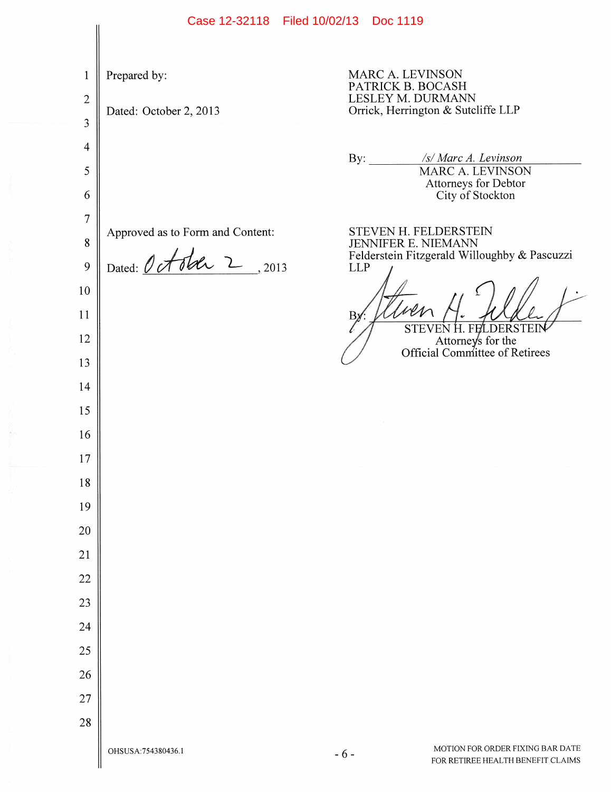MARC A. LEVINSON  $\mathbf{1}$ Prepared by: PATRICK B. BOCASH LESLEY M. DURMANN  $\overline{2}$ Orrick, Herrington & Sutcliffe LLP Dated: October 2, 2013 3  $\overline{4}$ /s/ Marc A. Levinson By: **MARC A. LEVINSON** 5 Attorneys for Debtor City of Stockton 6  $\overline{7}$ STEVEN H. FELDERSTEIN Approved as to Form and Content: **JENNIFER E. NIEMANN** 8 Felderstein Fitzgerald Willoughby & Pascuzzi Dated: October 2, 2013 9 **LLP** 10 11  $B<sub>i</sub>$ STEVEN H. FELDERSTEIN 12 Attorneys for the Official Committee of Retirees 13 14 15 16 17 18 19 20 21 22 23 24 25 26 27 28 MOTION FOR ORDER FIXING BAR DATE OHSUSA: 754380436.1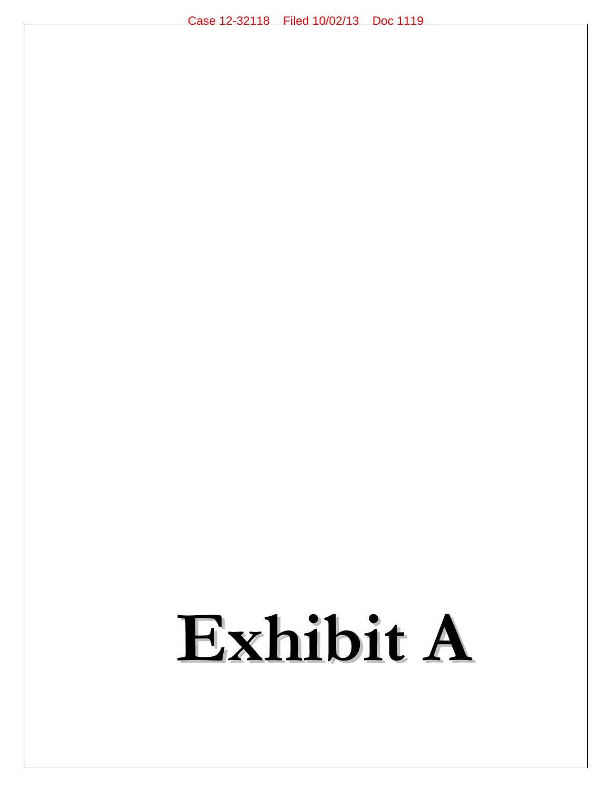## **Exhibit A**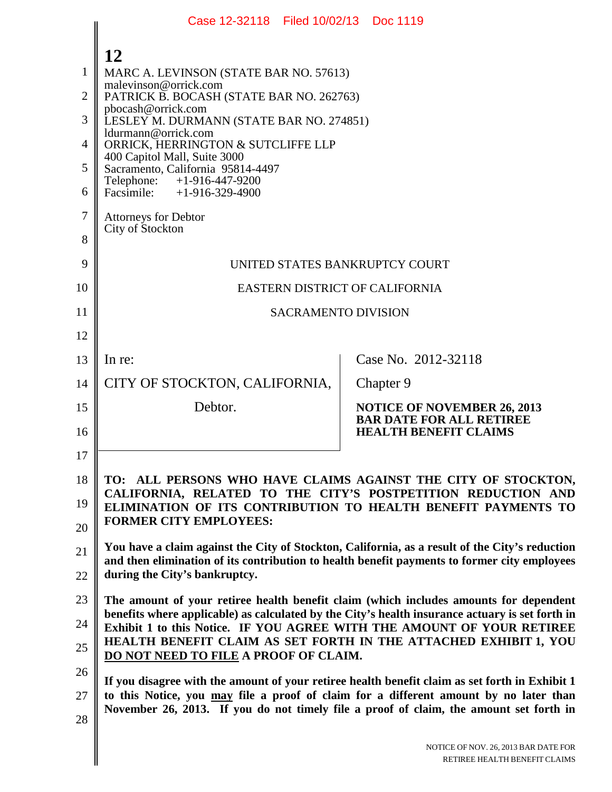|    | Case 12-32118   Filed 10/02/13   Doc 1119                                                                                                                                                                                                                                                                                                                                       |                                                                 |  |
|----|---------------------------------------------------------------------------------------------------------------------------------------------------------------------------------------------------------------------------------------------------------------------------------------------------------------------------------------------------------------------------------|-----------------------------------------------------------------|--|
|    | 12                                                                                                                                                                                                                                                                                                                                                                              |                                                                 |  |
| 1  | MARC A. LEVINSON (STATE BAR NO. 57613)                                                                                                                                                                                                                                                                                                                                          |                                                                 |  |
| 2  | malevinson@orrick.com<br>PATRICK B. BOCASH (STATE BAR NO. 262763)                                                                                                                                                                                                                                                                                                               |                                                                 |  |
| 3  | pbocash@orrick.com<br>LESLEY M. DURMANN (STATE BAR NO. 274851)                                                                                                                                                                                                                                                                                                                  |                                                                 |  |
| 4  | ldurmann@orrick.com<br>ORRICK, HERRINGTON & SUTCLIFFE LLP                                                                                                                                                                                                                                                                                                                       |                                                                 |  |
| 5  | 400 Capitol Mall, Suite 3000<br>Sacramento, California 95814-4497<br>Telephone:<br>$+1-916-447-9200$<br>Facsimile: +1-916-329-4900                                                                                                                                                                                                                                              |                                                                 |  |
| 6  |                                                                                                                                                                                                                                                                                                                                                                                 |                                                                 |  |
| 7  | <b>Attorneys for Debtor</b><br>City of Stockton                                                                                                                                                                                                                                                                                                                                 |                                                                 |  |
| 8  |                                                                                                                                                                                                                                                                                                                                                                                 |                                                                 |  |
| 9  | UNITED STATES BANKRUPTCY COURT                                                                                                                                                                                                                                                                                                                                                  |                                                                 |  |
| 10 | EASTERN DISTRICT OF CALIFORNIA                                                                                                                                                                                                                                                                                                                                                  |                                                                 |  |
| 11 | <b>SACRAMENTO DIVISION</b>                                                                                                                                                                                                                                                                                                                                                      |                                                                 |  |
| 12 |                                                                                                                                                                                                                                                                                                                                                                                 |                                                                 |  |
| 13 | In re:                                                                                                                                                                                                                                                                                                                                                                          | Case No. 2012-32118                                             |  |
| 14 | CITY OF STOCKTON, CALIFORNIA,                                                                                                                                                                                                                                                                                                                                                   | Chapter 9                                                       |  |
| 15 | Debtor.                                                                                                                                                                                                                                                                                                                                                                         | <b>NOTICE OF NOVEMBER 26, 2013</b>                              |  |
| 16 |                                                                                                                                                                                                                                                                                                                                                                                 | <b>BAR DATE FOR ALL RETIREE</b><br><b>HEALTH BENEFIT CLAIMS</b> |  |
| 17 |                                                                                                                                                                                                                                                                                                                                                                                 |                                                                 |  |
| 18 | TO: ALL PERSONS WHO HAVE CLAIMS AGAINST THE CITY OF STOCKTON,                                                                                                                                                                                                                                                                                                                   |                                                                 |  |
| 19 | CALIFORNIA, RELATED TO THE CITY'S POSTPETITION REDUCTION AND<br>ELIMINATION OF ITS CONTRIBUTION TO HEALTH BENEFIT PAYMENTS TO                                                                                                                                                                                                                                                   |                                                                 |  |
| 20 | <b>FORMER CITY EMPLOYEES:</b>                                                                                                                                                                                                                                                                                                                                                   |                                                                 |  |
| 21 | You have a claim against the City of Stockton, California, as a result of the City's reduction                                                                                                                                                                                                                                                                                  |                                                                 |  |
| 22 | and then elimination of its contribution to health benefit payments to former city employees<br>during the City's bankruptcy.                                                                                                                                                                                                                                                   |                                                                 |  |
| 23 | The amount of your retiree health benefit claim (which includes amounts for dependent<br>benefits where applicable) as calculated by the City's health insurance actuary is set forth in<br>Exhibit 1 to this Notice. IF YOU AGREE WITH THE AMOUNT OF YOUR RETIREE<br>HEALTH BENEFIT CLAIM AS SET FORTH IN THE ATTACHED EXHIBIT 1, YOU<br>DO NOT NEED TO FILE A PROOF OF CLAIM. |                                                                 |  |
| 24 |                                                                                                                                                                                                                                                                                                                                                                                 |                                                                 |  |
| 25 |                                                                                                                                                                                                                                                                                                                                                                                 |                                                                 |  |
| 26 | If you disagree with the amount of your retiree health benefit claim as set forth in Exhibit 1                                                                                                                                                                                                                                                                                  |                                                                 |  |
| 27 | to this Notice, you may file a proof of claim for a different amount by no later than<br>November 26, 2013. If you do not timely file a proof of claim, the amount set forth in                                                                                                                                                                                                 |                                                                 |  |
| 28 |                                                                                                                                                                                                                                                                                                                                                                                 |                                                                 |  |
|    | NOTICE OF NOV. 26, 2013 BAR DATE FOR<br>RETIREE HEALTH BENEFIT CLAIMS                                                                                                                                                                                                                                                                                                           |                                                                 |  |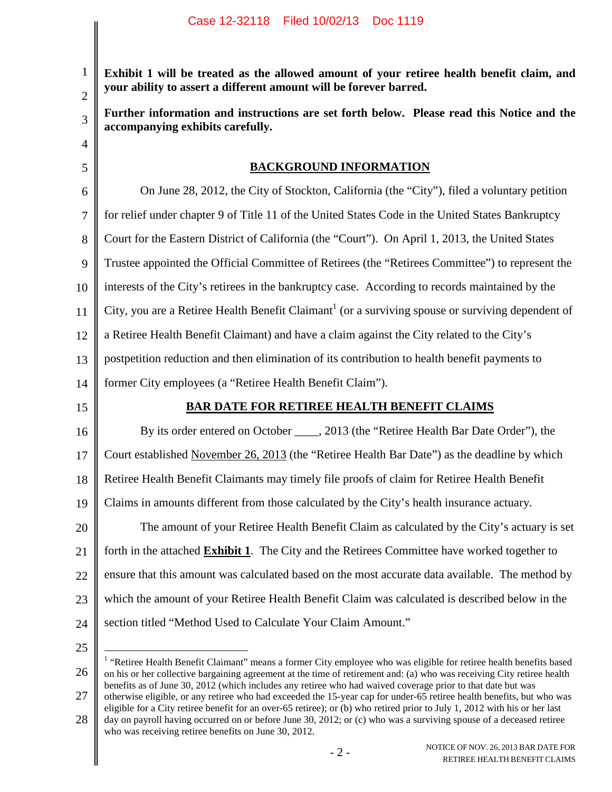1 2 3 4 5 6 7 8 9 10 11 12 13 14 15 16 17 18 19 20 21 22 23 24 25 **Exhibit 1 will be treated as the allowed amount of your retiree health benefit claim, and your ability to assert a different amount will be forever barred. Further information and instructions are set forth below. Please read this Notice and the accompanying exhibits carefully. BACKGROUND INFORMATION** On June 28, 2012, the City of Stockton, California (the "City"), filed a voluntary petition for relief under chapter 9 of Title 11 of the United States Code in the United States Bankruptcy Court for the Eastern District of California (the "Court"). On April 1, 2013, the United States Trustee appointed the Official Committee of Retirees (the "Retirees Committee") to represent the interests of the City's retirees in the bankruptcy case. According to records maintained by the City, you are a Retiree Health Benefit Claimant<sup>1</sup> (or a surviving spouse or surviving dependent of a Retiree Health Benefit Claimant) and have a claim against the City related to the City's postpetition reduction and then elimination of its contribution to health benefit payments to former City employees (a "Retiree Health Benefit Claim"). **BAR DATE FOR RETIREE HEALTH BENEFIT CLAIMS** By its order entered on October \_\_\_\_, 2013 (the "Retiree Health Bar Date Order"), the Court established November 26, 2013 (the "Retiree Health Bar Date") as the deadline by which Retiree Health Benefit Claimants may timely file proofs of claim for Retiree Health Benefit Claims in amounts different from those calculated by the City's health insurance actuary. The amount of your Retiree Health Benefit Claim as calculated by the City's actuary is set forth in the attached **Exhibit 1**. The City and the Retirees Committee have worked together to ensure that this amount was calculated based on the most accurate data available. The method by which the amount of your Retiree Health Benefit Claim was calculated is described below in the section titled "Method Used to Calculate Your Claim Amount."

<sup>26</sup> <sup>1</sup> "Retiree Health Benefit Claimant" means a former City employee who was eligible for retiree health benefits based on his or her collective bargaining agreement at the time of retirement and: (a) who was receiving City retiree health benefits as of June 30, 2012 (which includes any retiree who had waived coverage prior to that date but was otherwise eligible, or any retiree who had exceeded the 15-year cap for under-65 retiree health benefits, but who was

<sup>27</sup> eligible for a City retiree benefit for an over-65 retiree); or (b) who retired prior to July 1, 2012 with his or her last

<sup>28</sup> day on payroll having occurred on or before June 30, 2012; or (c) who was a surviving spouse of a deceased retiree who was receiving retiree benefits on June 30, 2012.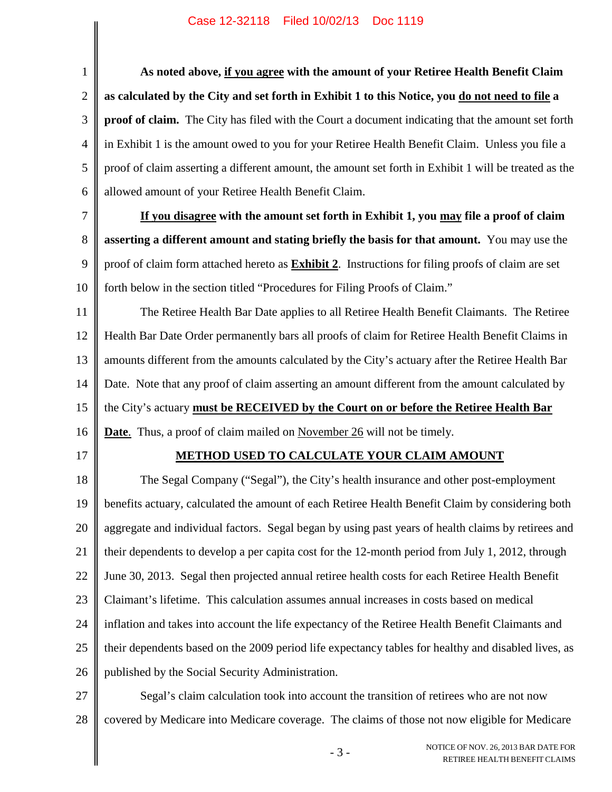$\parallel$ 

 $\overline{\phantom{a}}$ 

| $\mathbf{1}$     | As noted above, if you agree with the amount of your Retiree Health Benefit Claim                         |  |  |
|------------------|-----------------------------------------------------------------------------------------------------------|--|--|
| $\overline{2}$   | as calculated by the City and set forth in Exhibit 1 to this Notice, you do not need to file a            |  |  |
| $\mathfrak{Z}$   | proof of claim. The City has filed with the Court a document indicating that the amount set forth         |  |  |
| $\overline{4}$   | in Exhibit 1 is the amount owed to you for your Retiree Health Benefit Claim. Unless you file a           |  |  |
| 5                | proof of claim asserting a different amount, the amount set forth in Exhibit 1 will be treated as the     |  |  |
| 6                | allowed amount of your Retiree Health Benefit Claim.                                                      |  |  |
| $\boldsymbol{7}$ | If you disagree with the amount set forth in Exhibit 1, you may file a proof of claim                     |  |  |
| 8                | asserting a different amount and stating briefly the basis for that amount. You may use the               |  |  |
| 9                | proof of claim form attached hereto as <b>Exhibit 2</b> . Instructions for filing proofs of claim are set |  |  |
| 10               | forth below in the section titled "Procedures for Filing Proofs of Claim."                                |  |  |
| 11               | The Retiree Health Bar Date applies to all Retiree Health Benefit Claimants. The Retiree                  |  |  |
| 12               | Health Bar Date Order permanently bars all proofs of claim for Retiree Health Benefit Claims in           |  |  |
| 13               | amounts different from the amounts calculated by the City's actuary after the Retiree Health Bar          |  |  |
| 14               | Date. Note that any proof of claim asserting an amount different from the amount calculated by            |  |  |
| 15               | the City's actuary must be RECEIVED by the Court on or before the Retiree Health Bar                      |  |  |
| 16               | <b>Date</b> . Thus, a proof of claim mailed on November 26 will not be timely.                            |  |  |
| 17               | METHOD USED TO CALCULATE YOUR CLAIM AMOUNT                                                                |  |  |
| 18               | The Segal Company ("Segal"), the City's health insurance and other post-employment                        |  |  |
| 19               | benefits actuary, calculated the amount of each Retiree Health Benefit Claim by considering both          |  |  |
| 20               | aggregate and individual factors. Segal began by using past years of health claims by retirees and        |  |  |
| 21               | their dependents to develop a per capita cost for the 12-month period from July 1, 2012, through          |  |  |
| 22               | June 30, 2013. Segal then projected annual retiree health costs for each Retiree Health Benefit           |  |  |
| 23               | Claimant's lifetime. This calculation assumes annual increases in costs based on medical                  |  |  |
| 24               | inflation and takes into account the life expectancy of the Retiree Health Benefit Claimants and          |  |  |
| 25               | their dependents based on the 2009 period life expectancy tables for healthy and disabled lives, as       |  |  |
| 26               | published by the Social Security Administration.                                                          |  |  |
| 27               | Segal's claim calculation took into account the transition of retirees who are not now                    |  |  |
| 28               | covered by Medicare into Medicare coverage. The claims of those not now eligible for Medicare             |  |  |
|                  | NOTICE OF NOV. 26, 2013 BAR DATE FOR<br>$-3-$<br>RETIREE HEALTH BENEFIT CLAIMS                            |  |  |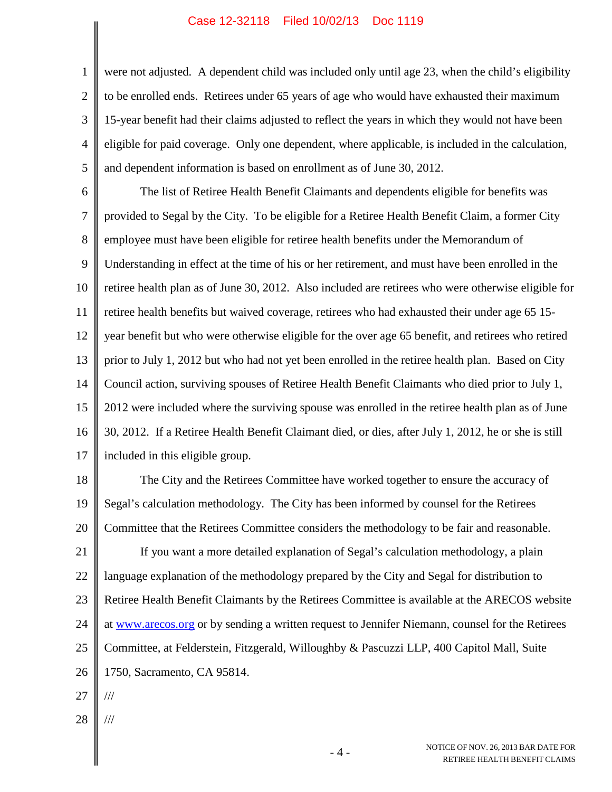1 2 3 4 5 were not adjusted. A dependent child was included only until age 23, when the child's eligibility to be enrolled ends. Retirees under 65 years of age who would have exhausted their maximum 15-year benefit had their claims adjusted to reflect the years in which they would not have been eligible for paid coverage. Only one dependent, where applicable, is included in the calculation, and dependent information is based on enrollment as of June 30, 2012.

6 7 8 9 10 11 12 13 14 15 16 17 The list of Retiree Health Benefit Claimants and dependents eligible for benefits was provided to Segal by the City. To be eligible for a Retiree Health Benefit Claim, a former City employee must have been eligible for retiree health benefits under the Memorandum of Understanding in effect at the time of his or her retirement, and must have been enrolled in the retiree health plan as of June 30, 2012. Also included are retirees who were otherwise eligible for retiree health benefits but waived coverage, retirees who had exhausted their under age 65 15 year benefit but who were otherwise eligible for the over age 65 benefit, and retirees who retired prior to July 1, 2012 but who had not yet been enrolled in the retiree health plan. Based on City Council action, surviving spouses of Retiree Health Benefit Claimants who died prior to July 1, 2012 were included where the surviving spouse was enrolled in the retiree health plan as of June 30, 2012. If a Retiree Health Benefit Claimant died, or dies, after July 1, 2012, he or she is still included in this eligible group.

18 19 20 The City and the Retirees Committee have worked together to ensure the accuracy of Segal's calculation methodology. The City has been informed by counsel for the Retirees Committee that the Retirees Committee considers the methodology to be fair and reasonable.

21 22 23 24 25 26 If you want a more detailed explanation of Segal's calculation methodology, a plain language explanation of the methodology prepared by the City and Segal for distribution to Retiree Health Benefit Claimants by the Retirees Committee is available at the ARECOS website at www.arecos.org or by sending a written request to Jennifer Niemann, counsel for the Retirees Committee, at Felderstein, Fitzgerald, Willoughby & Pascuzzi LLP, 400 Capitol Mall, Suite 1750, Sacramento, CA 95814.

- 27 ///
- 28 ///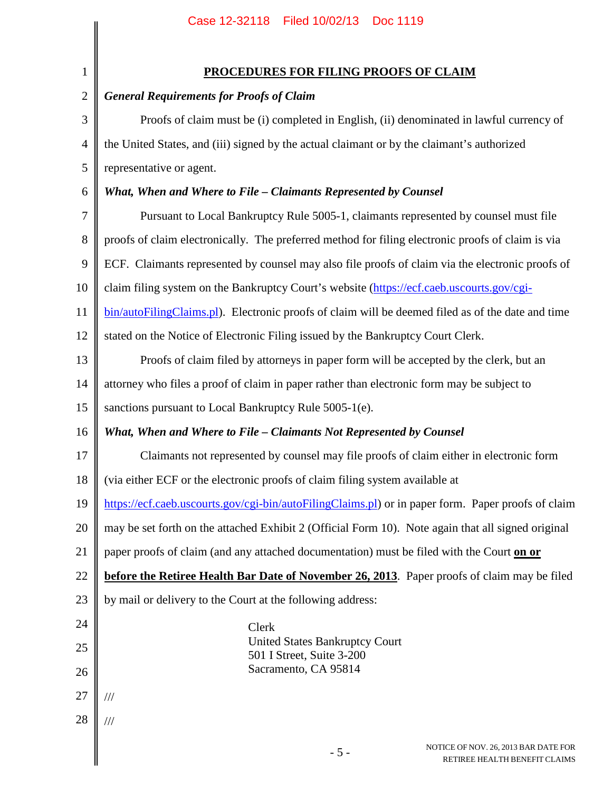|                | Case IZ-32118 - Filed IO/OZ/13 - DOC III9                                                          |  |  |
|----------------|----------------------------------------------------------------------------------------------------|--|--|
|                |                                                                                                    |  |  |
| $\mathbf{1}$   | <b>PROCEDURES FOR FILING PROOFS OF CLAIM</b>                                                       |  |  |
| $\mathbf{2}$   | <b>General Requirements for Proofs of Claim</b>                                                    |  |  |
| 3              | Proofs of claim must be (i) completed in English, (ii) denominated in lawful currency of           |  |  |
| $\overline{4}$ | the United States, and (iii) signed by the actual claimant or by the claimant's authorized         |  |  |
| 5              | representative or agent.                                                                           |  |  |
| 6              | What, When and Where to File - Claimants Represented by Counsel                                    |  |  |
| 7              | Pursuant to Local Bankruptcy Rule 5005-1, claimants represented by counsel must file               |  |  |
| 8              | proofs of claim electronically. The preferred method for filing electronic proofs of claim is via  |  |  |
| 9              | ECF. Claimants represented by counsel may also file proofs of claim via the electronic proofs of   |  |  |
| 10             | claim filing system on the Bankruptcy Court's website (https://ecf.caeb.uscourts.gov/cgi-          |  |  |
| 11             | bin/autoFilingClaims.pl). Electronic proofs of claim will be deemed filed as of the date and time  |  |  |
| 12             | stated on the Notice of Electronic Filing issued by the Bankruptcy Court Clerk.                    |  |  |
| 13             | Proofs of claim filed by attorneys in paper form will be accepted by the clerk, but an             |  |  |
| 14             | attorney who files a proof of claim in paper rather than electronic form may be subject to         |  |  |
| 15             | sanctions pursuant to Local Bankruptcy Rule 5005-1(e).                                             |  |  |
| 16             | What, When and Where to File - Claimants Not Represented by Counsel                                |  |  |
| 17             | Claimants not represented by counsel may file proofs of claim either in electronic form            |  |  |
| 18             | (via either ECF or the electronic proofs of claim filing system available at                       |  |  |
| 19             | https://ecf.caeb.uscourts.gov/cgi-bin/autoFilingClaims.pl) or in paper form. Paper proofs of claim |  |  |
| 20             | may be set forth on the attached Exhibit 2 (Official Form 10). Note again that all signed original |  |  |
| 21             | paper proofs of claim (and any attached documentation) must be filed with the Court on or          |  |  |
| 22             | before the Retiree Health Bar Date of November 26, 2013. Paper proofs of claim may be filed        |  |  |
| 23             | by mail or delivery to the Court at the following address:                                         |  |  |
| 24             | Clerk                                                                                              |  |  |
| 25             | <b>United States Bankruptcy Court</b><br>501 I Street, Suite 3-200                                 |  |  |
| 26             | Sacramento, CA 95814                                                                               |  |  |
| 27             | $\frac{1}{1}$                                                                                      |  |  |
| 28             | $/\!/ \!/$                                                                                         |  |  |
|                | NOTICE OF NOV. 26, 2013 BAR DATE FOR<br>$-5-$<br>RETIREE HEALTH BENEFIT CLAIMS                     |  |  |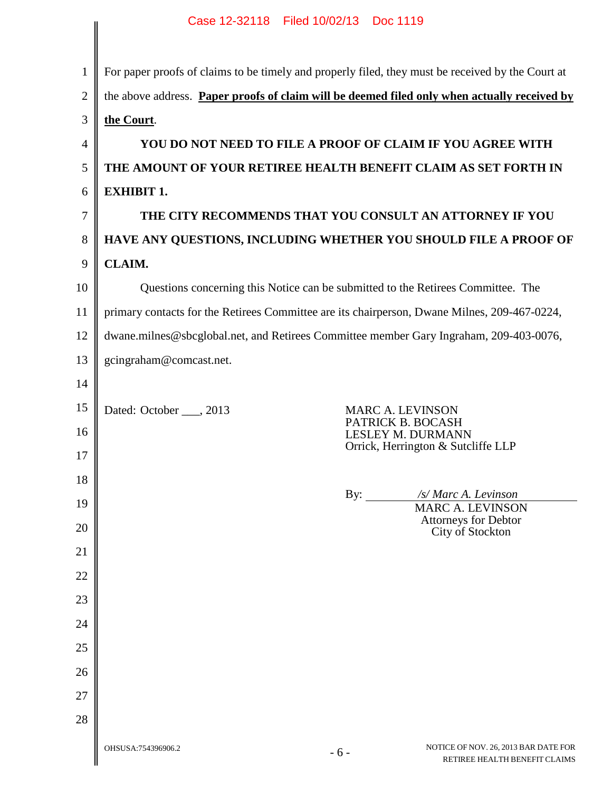|                | Case 12-32118  Filed 10/02/13  Doc 1119                                                              |  |  |
|----------------|------------------------------------------------------------------------------------------------------|--|--|
|                |                                                                                                      |  |  |
| $\mathbf{1}$   | For paper proofs of claims to be timely and properly filed, they must be received by the Court at    |  |  |
| $\overline{2}$ | the above address. Paper proofs of claim will be deemed filed only when actually received by         |  |  |
| 3              | the Court.                                                                                           |  |  |
| 4              | YOU DO NOT NEED TO FILE A PROOF OF CLAIM IF YOU AGREE WITH                                           |  |  |
| 5              | THE AMOUNT OF YOUR RETIREE HEALTH BENEFIT CLAIM AS SET FORTH IN                                      |  |  |
| 6              | <b>EXHIBIT 1.</b>                                                                                    |  |  |
| 7              | THE CITY RECOMMENDS THAT YOU CONSULT AN ATTORNEY IF YOU                                              |  |  |
| 8              | HAVE ANY QUESTIONS, INCLUDING WHETHER YOU SHOULD FILE A PROOF OF                                     |  |  |
| 9              | <b>CLAIM.</b>                                                                                        |  |  |
| 10             | Questions concerning this Notice can be submitted to the Retirees Committee. The                     |  |  |
| 11             | primary contacts for the Retirees Committee are its chairperson, Dwane Milnes, 209-467-0224,         |  |  |
| 12             | dwane.milnes@sbcglobal.net, and Retirees Committee member Gary Ingraham, 209-403-0076,               |  |  |
| 13             | gcingraham@comcast.net.                                                                              |  |  |
| 14             |                                                                                                      |  |  |
| 15             | Dated: October ___, 2013<br><b>MARC A. LEVINSON</b><br>PATRICK B. BOCASH                             |  |  |
| 16             | <b>LESLEY M. DURMANN</b><br>Orrick, Herrington & Sutcliffe LLP                                       |  |  |
| 17             |                                                                                                      |  |  |
| 18             | By: $\_\_$<br>/s/ Marc A. Levinson                                                                   |  |  |
| 19             | <b>MARC A. LEVINSON</b><br>Attorneys for Debtor                                                      |  |  |
| 20             | City of Stockton                                                                                     |  |  |
| 21             |                                                                                                      |  |  |
| 22             |                                                                                                      |  |  |
| 23             |                                                                                                      |  |  |
| 24             |                                                                                                      |  |  |
| 25             |                                                                                                      |  |  |
| 26             |                                                                                                      |  |  |
| 27             |                                                                                                      |  |  |
| 28             |                                                                                                      |  |  |
|                | NOTICE OF NOV. 26, 2013 BAR DATE FOR<br>OHSUSA:754396906.2<br>$-6-$<br>RETIREE HEALTH BENEFIT CLAIMS |  |  |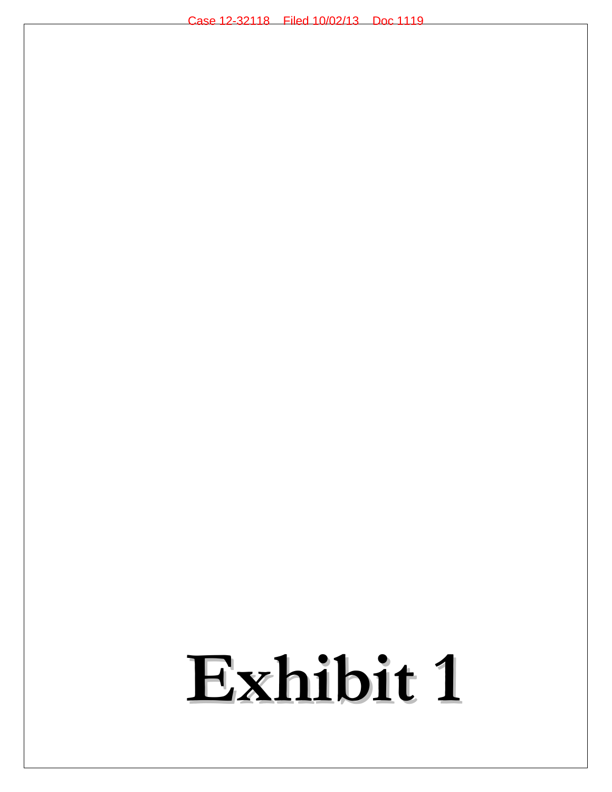## **Exhibit 1**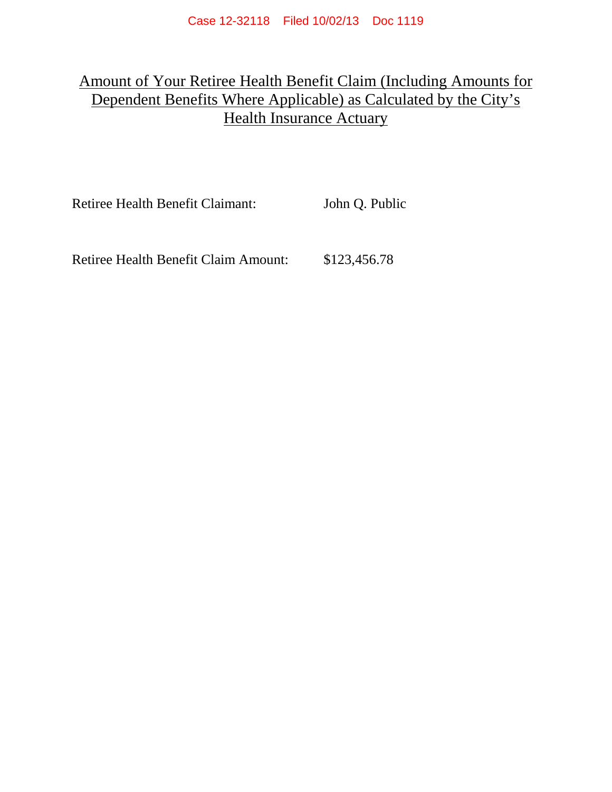## Amount of Your Retiree Health Benefit Claim (Including Amounts for Dependent Benefits Where Applicable) as Calculated by the City's Health Insurance Actuary

Retiree Health Benefit Claimant: John Q. Public

Retiree Health Benefit Claim Amount: \$123,456.78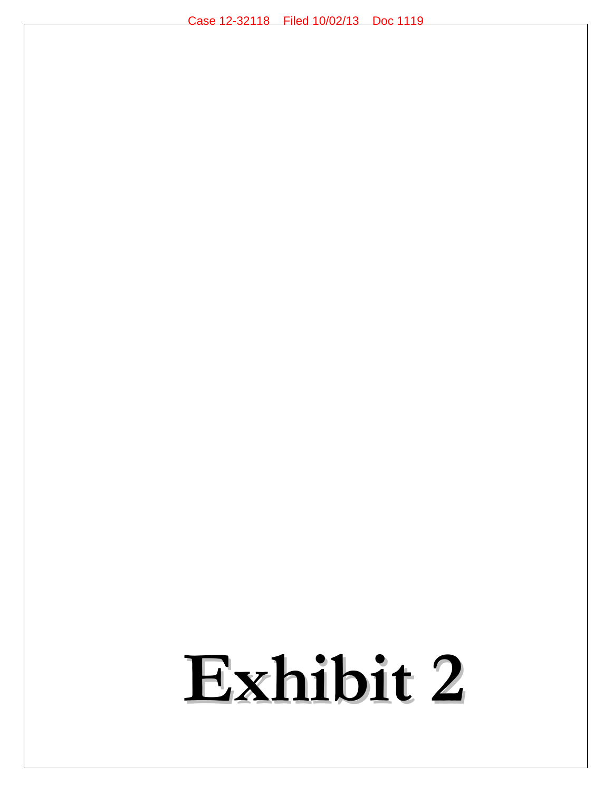# **Exhibit 2**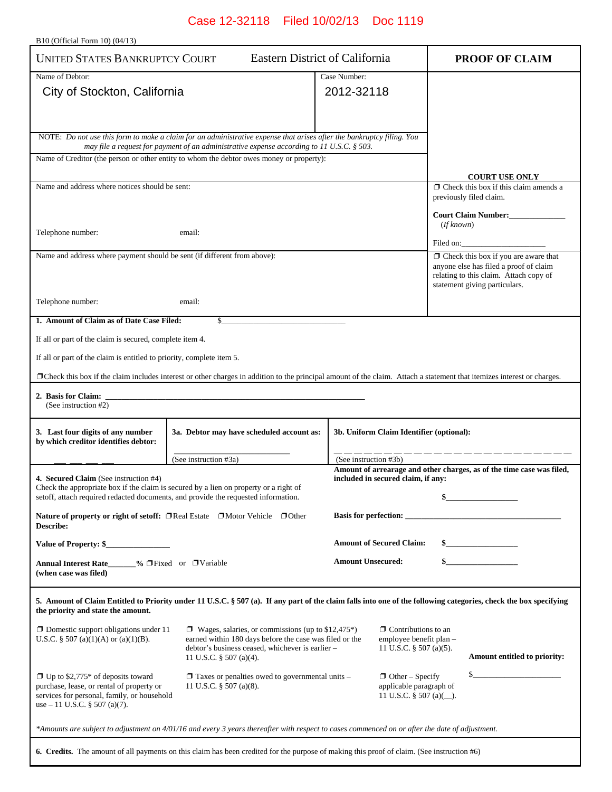B10 (Official Form 10) (04/13)

| <b>UNITED STATES BANKRUPTCY COURT</b>                                                    |                                                                                                                                                                                                                       | <b>Eastern District of California</b>                 | <b>PROOF OF CLAIM</b>                                                            |
|------------------------------------------------------------------------------------------|-----------------------------------------------------------------------------------------------------------------------------------------------------------------------------------------------------------------------|-------------------------------------------------------|----------------------------------------------------------------------------------|
| Name of Debtor:                                                                          |                                                                                                                                                                                                                       | Case Number:                                          |                                                                                  |
| City of Stockton, California                                                             |                                                                                                                                                                                                                       | 2012-32118                                            |                                                                                  |
|                                                                                          |                                                                                                                                                                                                                       |                                                       |                                                                                  |
|                                                                                          |                                                                                                                                                                                                                       |                                                       |                                                                                  |
|                                                                                          | NOTE: Do not use this form to make a claim for an administrative expense that arises after the bankruptcy filing. You<br>may file a request for payment of an administrative expense according to 11 U.S.C. $\S$ 503. |                                                       |                                                                                  |
|                                                                                          | Name of Creditor (the person or other entity to whom the debtor owes money or property):                                                                                                                              |                                                       |                                                                                  |
|                                                                                          |                                                                                                                                                                                                                       |                                                       | <b>COURT USE ONLY</b>                                                            |
| Name and address where notices should be sent:                                           |                                                                                                                                                                                                                       |                                                       | $\Box$ Check this box if this claim amends a<br>previously filed claim.          |
|                                                                                          |                                                                                                                                                                                                                       |                                                       | Court Claim Number:                                                              |
|                                                                                          |                                                                                                                                                                                                                       |                                                       | (If known)                                                                       |
| Telephone number:                                                                        | email:                                                                                                                                                                                                                |                                                       | Filed on:                                                                        |
| Name and address where payment should be sent (if different from above):                 |                                                                                                                                                                                                                       |                                                       | $\Box$ Check this box if you are aware that                                      |
|                                                                                          |                                                                                                                                                                                                                       |                                                       | anyone else has filed a proof of claim<br>relating to this claim. Attach copy of |
|                                                                                          |                                                                                                                                                                                                                       |                                                       | statement giving particulars.                                                    |
| Telephone number:                                                                        | email:                                                                                                                                                                                                                |                                                       |                                                                                  |
| 1. Amount of Claim as of Date Case Filed:                                                | \$                                                                                                                                                                                                                    |                                                       |                                                                                  |
| If all or part of the claim is secured, complete item 4.                                 |                                                                                                                                                                                                                       |                                                       |                                                                                  |
| If all or part of the claim is entitled to priority, complete item 5.                    |                                                                                                                                                                                                                       |                                                       |                                                                                  |
|                                                                                          | □ Check this box if the claim includes interest or other charges in addition to the principal amount of the claim. Attach a statement that itemizes interest or charges.                                              |                                                       |                                                                                  |
| 2. Basis for Claim:                                                                      |                                                                                                                                                                                                                       |                                                       |                                                                                  |
| (See instruction #2)                                                                     |                                                                                                                                                                                                                       |                                                       |                                                                                  |
| 3. Last four digits of any number                                                        | 3a. Debtor may have scheduled account as:                                                                                                                                                                             | 3b. Uniform Claim Identifier (optional):              |                                                                                  |
| by which creditor identifies debtor:                                                     |                                                                                                                                                                                                                       |                                                       |                                                                                  |
|                                                                                          | (See instruction #3a)                                                                                                                                                                                                 | (See instruction #3b)                                 |                                                                                  |
| 4. Secured Claim (See instruction #4)                                                    |                                                                                                                                                                                                                       | included in secured claim, if any:                    | Amount of arrearage and other charges, as of the time case was filed,            |
|                                                                                          | Check the appropriate box if the claim is secured by a lien on property or a right of<br>set off, attach required redacted documents, and provide the requested information.                                          |                                                       |                                                                                  |
|                                                                                          | Nature of property or right of setoff: □ Real Estate □ Motor Vehicle □ Other                                                                                                                                          |                                                       |                                                                                  |
| Describe:                                                                                |                                                                                                                                                                                                                       |                                                       |                                                                                  |
| Value of Property: \$                                                                    |                                                                                                                                                                                                                       | <b>Amount of Secured Claim:</b>                       | $\sim$ $\sim$                                                                    |
| Annual Interest Rate_____% □Fixed or □Variable                                           |                                                                                                                                                                                                                       | <b>Amount Unsecured:</b>                              |                                                                                  |
| (when case was filed)                                                                    |                                                                                                                                                                                                                       |                                                       |                                                                                  |
| the priority and state the amount.                                                       | 5. Amount of Claim Entitled to Priority under 11 U.S.C. § 507 (a). If any part of the claim falls into one of the following categories, check the box specifying                                                      |                                                       |                                                                                  |
| $\Box$ Domestic support obligations under 11                                             | $\Box$ Wages, salaries, or commissions (up to \$12,475*)                                                                                                                                                              | $\Box$ Contributions to an                            |                                                                                  |
| U.S.C. § 507 (a)(1)(A) or (a)(1)(B).                                                     | earned within 180 days before the case was filed or the<br>debtor's business ceased, whichever is earlier -                                                                                                           | employee benefit plan -<br>11 U.S.C. $\S$ 507 (a)(5). |                                                                                  |
|                                                                                          | 11 U.S.C. § 507 (a)(4).                                                                                                                                                                                               |                                                       | Amount entitled to priority:                                                     |
| $\Box$ Up to \$2,775* of deposits toward                                                 | $\Box$ Taxes or penalties owed to governmental units –                                                                                                                                                                | $\Box$ Other – Specify                                | $\mathbb{S}$                                                                     |
| purchase, lease, or rental of property or<br>services for personal, family, or household | 11 U.S.C. $\S$ 507 (a)(8).                                                                                                                                                                                            | applicable paragraph of<br>11 U.S.C. $\S$ 507 (a)().  |                                                                                  |
| use $-11$ U.S.C. § 507 (a)(7).                                                           |                                                                                                                                                                                                                       |                                                       |                                                                                  |
|                                                                                          | *Amounts are subject to adjustment on 4/01/16 and every 3 years thereafter with respect to cases commenced on or after the date of adjustment.                                                                        |                                                       |                                                                                  |
|                                                                                          | <b>6.</b> Credits. The amount of all payments on this claim has been credited for the purpose of making this proof of claim. (See instruction #6)                                                                     |                                                       |                                                                                  |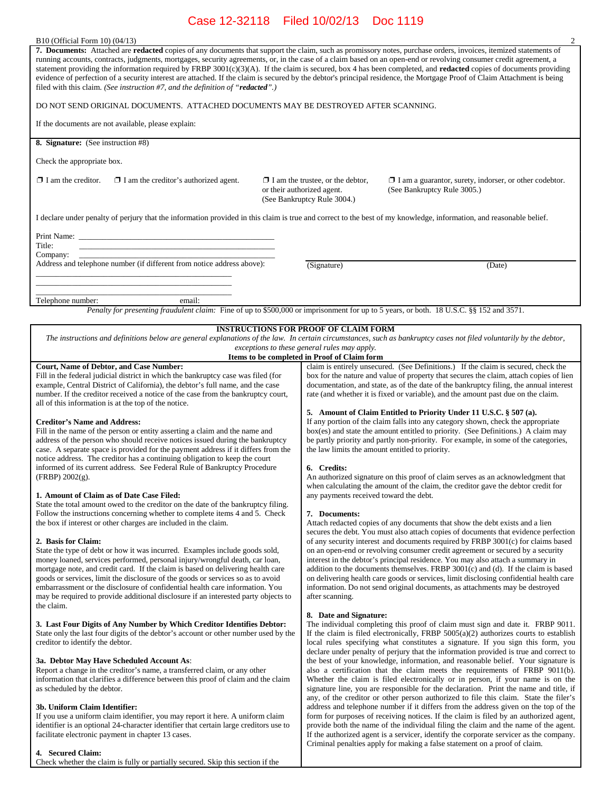|                                                                                                      | $\overline{c}$                                                                                                                                                                                                                                                                                                                                                                                                                                                                                                                                                                                                                                                                                  |  |  |
|------------------------------------------------------------------------------------------------------|-------------------------------------------------------------------------------------------------------------------------------------------------------------------------------------------------------------------------------------------------------------------------------------------------------------------------------------------------------------------------------------------------------------------------------------------------------------------------------------------------------------------------------------------------------------------------------------------------------------------------------------------------------------------------------------------------|--|--|
|                                                                                                      | 7. Documents: Attached are redacted copies of any documents that support the claim, such as promissory notes, purchase orders, invoices, itemized statements of<br>running accounts, contracts, judgments, mortgages, security agreements, or, in the case of a claim based on an open-end or revolving consumer credit agreement, a<br>statement providing the information required by FRBP $3001(c)(3)(A)$ . If the claim is secured, box 4 has been completed, and <b>redacted</b> copies of documents providing<br>evidence of perfection of a security interest are attached. If the claim is secured by the debtor's principal residence, the Mortgage Proof of Claim Attachment is being |  |  |
| DO NOT SEND ORIGINAL DOCUMENTS. ATTACHED DOCUMENTS MAY BE DESTROYED AFTER SCANNING.                  |                                                                                                                                                                                                                                                                                                                                                                                                                                                                                                                                                                                                                                                                                                 |  |  |
|                                                                                                      |                                                                                                                                                                                                                                                                                                                                                                                                                                                                                                                                                                                                                                                                                                 |  |  |
|                                                                                                      |                                                                                                                                                                                                                                                                                                                                                                                                                                                                                                                                                                                                                                                                                                 |  |  |
|                                                                                                      |                                                                                                                                                                                                                                                                                                                                                                                                                                                                                                                                                                                                                                                                                                 |  |  |
| $\Box$ I am the trustee, or the debtor,<br>or their authorized agent.<br>(See Bankruptcy Rule 3004.) | $\Box$ I am a guarantor, surety, indorser, or other codebtor.<br>(See Bankruptcy Rule 3005.)                                                                                                                                                                                                                                                                                                                                                                                                                                                                                                                                                                                                    |  |  |
|                                                                                                      | I declare under penalty of perjury that the information provided in this claim is true and correct to the best of my knowledge, information, and reasonable belief.                                                                                                                                                                                                                                                                                                                                                                                                                                                                                                                             |  |  |
|                                                                                                      |                                                                                                                                                                                                                                                                                                                                                                                                                                                                                                                                                                                                                                                                                                 |  |  |
|                                                                                                      | (Date)                                                                                                                                                                                                                                                                                                                                                                                                                                                                                                                                                                                                                                                                                          |  |  |
|                                                                                                      |                                                                                                                                                                                                                                                                                                                                                                                                                                                                                                                                                                                                                                                                                                 |  |  |
|                                                                                                      | Penalty for presenting fraudulent claim: Fine of up to \$500,000 or imprisonment for up to 5 years, or both. 18 U.S.C. §§ 152 and 3571.                                                                                                                                                                                                                                                                                                                                                                                                                                                                                                                                                         |  |  |
|                                                                                                      |                                                                                                                                                                                                                                                                                                                                                                                                                                                                                                                                                                                                                                                                                                 |  |  |
|                                                                                                      |                                                                                                                                                                                                                                                                                                                                                                                                                                                                                                                                                                                                                                                                                                 |  |  |
|                                                                                                      | The instructions and definitions below are general explanations of the law. In certain circumstances, such as bankruptcy cases not filed voluntarily by the debtor,                                                                                                                                                                                                                                                                                                                                                                                                                                                                                                                             |  |  |
| Items to be completed in Proof of Claim form                                                         |                                                                                                                                                                                                                                                                                                                                                                                                                                                                                                                                                                                                                                                                                                 |  |  |
|                                                                                                      | claim is entirely unsecured. (See Definitions.) If the claim is secured, check the<br>box for the nature and value of property that secures the claim, attach copies of lien<br>documentation, and state, as of the date of the bankruptcy filing, the annual interest<br>rate (and whether it is fixed or variable), and the amount past due on the claim.<br>5. Amount of Claim Entitled to Priority Under 11 U.S.C. § 507 (a).                                                                                                                                                                                                                                                               |  |  |
|                                                                                                      | If any portion of the claim falls into any category shown, check the appropriate<br>$box(es)$ and state the amount entitled to priority. (See Definitions.) $\overrightarrow{A}$ claim may<br>be partly priority and partly non-priority. For example, in some of the categories,<br>the law limits the amount entitled to priority.                                                                                                                                                                                                                                                                                                                                                            |  |  |
|                                                                                                      | (Signature)<br><b>INSTRUCTIONS FOR PROOF OF CLAIM FORM</b><br>exceptions to these general rules may apply.                                                                                                                                                                                                                                                                                                                                                                                                                                                                                                                                                                                      |  |  |

#### **1. Amount of Claim as of Date Case Filed:**

State the total amount owed to the creditor on the date of the bankruptcy filing. Follow the instructions concerning whether to complete items 4 and 5. Check the box if interest or other charges are included in the claim.

#### **2. Basis for Claim:**

State the type of debt or how it was incurred. Examples include goods sold, money loaned, services performed, personal injury/wrongful death, car loan, mortgage note, and credit card. If the claim is based on delivering health care goods or services, limit the disclosure of the goods or services so as to avoid embarrassment or the disclosure of confidential health care information. You may be required to provide additional disclosure if an interested party objects to the claim.

#### **3. Last Four Digits of Any Number by Which Creditor Identifies Debtor:**

State only the last four digits of the debtor's account or other number used by the creditor to identify the debtor.

#### **3a. Debtor May Have Scheduled Account As**:

Report a change in the creditor's name, a transferred claim, or any other information that clarifies a difference between this proof of claim and the claim as scheduled by the debtor.

#### **3b. Uniform Claim Identifier:**

If you use a uniform claim identifier, you may report it here. A uniform claim identifier is an optional 24-character identifier that certain large creditors use to facilitate electronic payment in chapter 13 cases.

#### **4. Secured Claim:**

Check whether the claim is fully or partially secured. Skip this section if the

An authorized signature on this proof of claim serves as an acknowledgment that when calculating the amount of the claim, the creditor gave the debtor credit for any payments received toward the debt.

#### **7. Documents:**

Attach redacted copies of any documents that show the debt exists and a lien secures the debt. You must also attach copies of documents that evidence perfection of any security interest and documents required by FRBP 3001(c) for claims based on an open-end or revolving consumer credit agreement or secured by a security interest in the debtor's principal residence. You may also attach a summary in addition to the documents themselves. FRBP 3001(c) and (d). If the claim is based on delivering health care goods or services, limit disclosing confidential health care information. Do not send original documents, as attachments may be destroyed after scanning.

#### **8. Date and Signature:**

The individual completing this proof of claim must sign and date it. FRBP 9011. If the claim is filed electronically, FRBP 5005(a)(2) authorizes courts to establish local rules specifying what constitutes a signature. If you sign this form, you declare under penalty of perjury that the information provided is true and correct to the best of your knowledge, information, and reasonable belief. Your signature is also a certification that the claim meets the requirements of FRBP 9011(b). Whether the claim is filed electronically or in person, if your name is on the signature line, you are responsible for the declaration. Print the name and title, if any, of the creditor or other person authorized to file this claim. State the filer's address and telephone number if it differs from the address given on the top of the form for purposes of receiving notices. If the claim is filed by an authorized agent, provide both the name of the individual filing the claim and the name of the agent. If the authorized agent is a servicer, identify the corporate servicer as the company. Criminal penalties apply for making a false statement on a proof of claim.